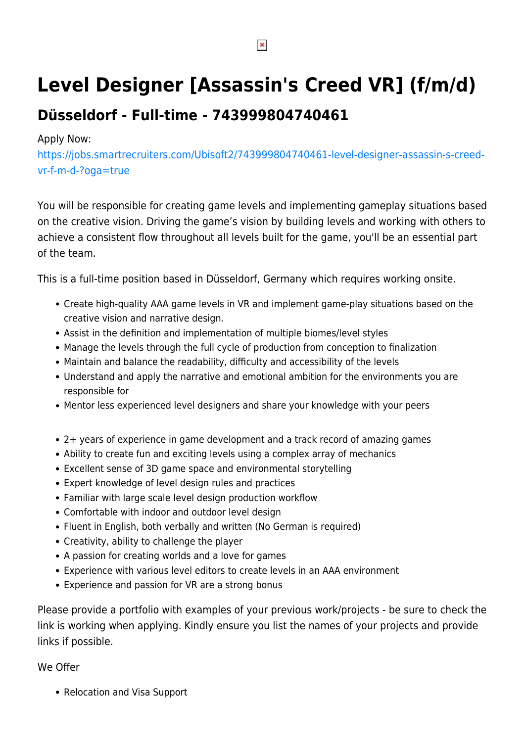## **Level Designer [Assassin's Creed VR] (f/m/d)**

## **Düsseldorf - Full-time - 743999804740461**

## Apply Now:

[https://jobs.smartrecruiters.com/Ubisoft2/743999804740461-level-designer-assassin-s-creed](https://jobs.smartrecruiters.com/Ubisoft2/743999804740461-level-designer-assassin-s-creed-vr-f-m-d-?oga=true)[vr-f-m-d-?oga=true](https://jobs.smartrecruiters.com/Ubisoft2/743999804740461-level-designer-assassin-s-creed-vr-f-m-d-?oga=true)

You will be responsible for creating game levels and implementing gameplay situations based on the creative vision. Driving the game's vision by building levels and working with others to achieve a consistent flow throughout all levels built for the game, you'll be an essential part of the team.

This is a full-time position based in Düsseldorf, Germany which requires working onsite.

- Create high-quality AAA game levels in VR and implement game-play situations based on the creative vision and narrative design.
- Assist in the definition and implementation of multiple biomes/level styles
- Manage the levels through the full cycle of production from conception to finalization
- Maintain and balance the readability, difficulty and accessibility of the levels
- Understand and apply the narrative and emotional ambition for the environments you are responsible for
- Mentor less experienced level designers and share your knowledge with your peers
- 2+ years of experience in game development and a track record of amazing games
- Ability to create fun and exciting levels using a complex array of mechanics
- Excellent sense of 3D game space and environmental storytelling
- Expert knowledge of level design rules and practices
- Familiar with large scale level design production workflow
- Comfortable with indoor and outdoor level design
- Fluent in English, both verbally and written (No German is required)
- Creativity, ability to challenge the player
- A passion for creating worlds and a love for games
- Experience with various level editors to create levels in an AAA environment
- Experience and passion for VR are a strong bonus

Please provide a portfolio with examples of your previous work/projects - be sure to check the link is working when applying. Kindly ensure you list the names of your projects and provide links if possible.

## We Offer

• Relocation and Visa Support

 $\pmb{\times}$